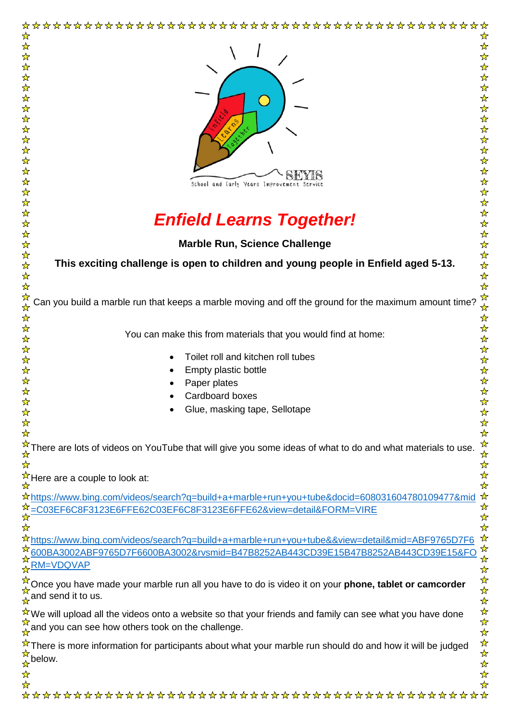| ☆                                                                                                                                               | ☆                                              |
|-------------------------------------------------------------------------------------------------------------------------------------------------|------------------------------------------------|
| ☆<br>☆                                                                                                                                          | 24 24 24                                       |
| $\frac{1}{\mathcal{N}}$                                                                                                                         |                                                |
| $\frac{1}{\sqrt{2}}$                                                                                                                            | $\frac{1}{\sqrt{2}}$                           |
| $\frac{1}{\mathcal{N}}$                                                                                                                         | $\frac{1}{\sqrt{2}}$                           |
| ☆<br>$\frac{1}{\sqrt{2}}$                                                                                                                       | $\frac{1}{\sqrt{2}}$<br>$\frac{1}{\sqrt{2}}$   |
| $\frac{1}{\mathcal{N}}$                                                                                                                         | $\frac{1}{\sqrt{2}}$                           |
| $\frac{1}{\sqrt{2}}$                                                                                                                            | $\frac{1}{\sqrt{2}}$                           |
| $\frac{1}{\sqrt{2}}$                                                                                                                            | $\frac{1}{\sqrt{2}}$                           |
| $\frac{1}{\sqrt{2}}$<br>$\frac{1}{\mathcal{N}}$                                                                                                 |                                                |
| $\frac{1}{\mathcal{N}}$                                                                                                                         |                                                |
| $\frac{1}{\mathcal{N}}$<br>School and Early Vears Improvement Service                                                                           |                                                |
| $\frac{1}{\mathcal{N}}$                                                                                                                         |                                                |
| $\frac{1}{\mathcal{N}}$                                                                                                                         |                                                |
| $\frac{1}{\mathcal{N}}$<br><b>Enfield Learns Together!</b><br>$\frac{1}{\mathcal{N}}$                                                           |                                                |
| $\frac{1}{\lambda}$                                                                                                                             |                                                |
| $\frac{1}{\sqrt{2}}$<br><b>Marble Run, Science Challenge</b>                                                                                    |                                                |
| $\frac{1}{\lambda}$                                                                                                                             | ☆☆☆☆☆☆☆☆☆☆☆☆☆☆☆☆☆☆☆                            |
| This exciting challenge is open to children and young people in Enfield aged 5-13.<br>☆<br>$\frac{1}{\sqrt{2}}$                                 |                                                |
| $\frac{1}{\lambda}$                                                                                                                             |                                                |
| Can you build a marble run that keeps a marble moving and off the ground for the maximum amount time?                                           |                                                |
| 卒                                                                                                                                               |                                                |
| ☆                                                                                                                                               |                                                |
| ☆<br>You can make this from materials that you would find at home:<br>☆                                                                         | $\frac{1}{\sqrt{2}}$                           |
| ☆                                                                                                                                               | $\frac{1}{\sqrt{2}}$                           |
| Toilet roll and kitchen roll tubes<br>☆                                                                                                         | $\frac{1}{\sqrt{2}}$                           |
| $\frac{1}{\sqrt{2}}$<br>Empty plastic bottle                                                                                                    | $\frac{1}{\sqrt{2}}$                           |
| $\frac{1}{\sqrt{2}}$<br>Paper plates<br>☆                                                                                                       | 卒毕                                             |
| Cardboard boxes<br>☆                                                                                                                            | $\frac{1}{\mathbf{k}}$                         |
| Glue, masking tape, Sellotape<br>☆                                                                                                              | $\frac{1}{\mathbf{k}}$                         |
| $\frac{1}{\sqrt{2}}$                                                                                                                            | $\frac{\lambda}{\lambda}$                      |
| $\frac{1}{\mathcal{N}}$                                                                                                                         | 24 24 24                                       |
| There are lots of videos on YouTube that will give you some ideas of what to do and what materials to use<br>$\frac{1}{\sqrt{2}}$               |                                                |
| ☆                                                                                                                                               |                                                |
| $\overbrace{\star}^{\mathcal{A}}$ Here are a couple to look at:                                                                                 | 卒卒                                             |
|                                                                                                                                                 | $\frac{1}{\mathcal{N}}$                        |
| ☆https://www.bing.com/videos/search?q=build+a+marble+run+you+tube&docid=608031604780109477∣                                                     | $\frac{1}{\sqrt{2}}$<br>$\frac{1}{\mathbf{k}}$ |
| C03EF6C8F3123E6FFE62C03EF6C8F3123E6FFE62&view=detail&FORM=VIRE                                                                                  | $\frac{1}{\sqrt{2}}$                           |
| ☆                                                                                                                                               | $\frac{1}{\mathcal{N}}$                        |
| https://www.bing.com/videos/search?q=build+a+marble+run+you+tube&&view=detail∣=ABF9765D7F6                                                      | $\frac{1}{\sqrt{2}}$                           |
| <u>A 600BA3002ABF9765D7F6600BA3002&amp;rvsmid=B47B8252AB443CD39E15B47B8252AB443CD39E15&amp;FO</u>                                               |                                                |
| RM=VDQVAP                                                                                                                                       |                                                |
|                                                                                                                                                 | ☆☆☆☆☆☆☆☆☆                                      |
| Once you have made your marble run all you have to do is video it on your phone, tablet or camcorder<br>$\frac{1}{\sqrt{2}}$ and send it to us. |                                                |
|                                                                                                                                                 |                                                |
| X We will upload all the videos onto a website so that your friends and family can see what you have done                                       |                                                |
| $\frac{\lambda}{\lambda}$ and you can see how others took on the challenge.                                                                     | $\frac{1}{\mathbf{k}}$                         |
| There is more information for participants about what your marble run should do and how it will be judged                                       | $\frac{1}{\sqrt{2}}$                           |
| $x^2$ below.                                                                                                                                    | $\frac{1}{\mathcal{N}}$                        |
|                                                                                                                                                 | $\frac{1}{\mathcal{N}}$                        |
| ☆<br>☆                                                                                                                                          | $\frac{1}{\mathbf{k}}$                         |
|                                                                                                                                                 |                                                |